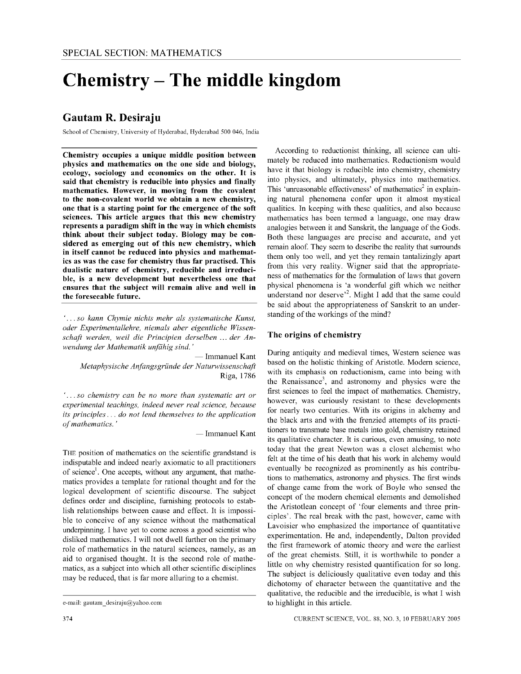# **Chemistry - The middle kingdom**

# **Gautam R. Desiraju**

School of Chemistry, University of Hyderabad, Hyderabad 500 046, India

Chemistry occupies a unique middle position between physics and mathematics on the one side and biology, ecology, sociology and economics on the other. It is said that chemistry is reducible into physics and finally mathematics. However, in moving from the covalent to the non-covalent world we obtain a new chemistry, one that is a starting point for the emergence of the soft sciences. This article argues that this new chemistry represents a paradigm shift in the way in which chemists think about their subject today. Biology may be con sidered as emerging out of this new chemistry, which in itself cannot be reduced into physics and mathematics as was the case for chemistry thus far practised. This dualistic nature of chemistry, reducible and irreducible, is a new development but nevertheless one that ensures that the subject will remain alive and well in the foreseeable future.

, ... so *kann Chymie nichts mehr als systematische Kunst, oder Experimentallehre, niemals aber eigentliche Wissenschaft werden, wei! die Principien derselben* ... *der Anwendung der Mathematik unfiihig sind. '* 

- Immanuel Kant *Metaphysische Anfangsgriinde der Naturwissenschaft*  Riga, 1786

, ... so *chemistry can be no more than systematic art or experimental teachings, indeed never real science, because its principles .* .. *do not lend themselves to the application of mathematics. '* 

— Immanuel Kant

THE position of mathematics on the scientific grandstand is indisputable and indeed nearly axiomatic to all practitioners of science<sup>1</sup>. One accepts, without any argument, that mathematics provides a template for rational thought and for the logical development of scientific discourse. The subject defines order and discipline, furnishing protocols to establish relationships between cause and effect. It is impossible to conceive of any science without the mathematical underpinning. I have yet to come across a good scientist who disliked mathematics. I will not dwell further on the primary role of mathematics in the natural sciences, namely, as an aid to organised thought. It is the second role of mathematics, as a subject into which all other scientific disciplines may be reduced, that is far more alluring to a chemist.

According to reductionist thinking, all science can ultimately be reduced into mathematics. Reductionism would have it that biology is reducible into chemistry, chemistry into physics, and ultimately, physics into mathematics. This 'unreasonable effectiveness' of mathematics<sup>2</sup> in explaining natural phenomena confer upon it almost mystical qualities. In keeping with these qualities, and also because mathematics has been termed a language, one may draw analogies between it and Sanskrit, the language of the Gods. Both these languages are precise and accurate, and yet remain aloof. They seem to describe the reality that surrounds them only too well, and yet they remain tantalizingly apart from this very reality. Wigner said that the appropriateness of mathematics for the formulation of laws that govern physical phenomena is 'a wonderful gift which we neither understand nor deserve<sup> $2$ </sup>. Might I add that the same could be said about the appropriateness of Sanskrit to an understanding of the workings of the mind?

## The origins of chemistry

During antiquity and medieval times, Western science was based on the holistic thinking of Aristotle. Modem science, with its emphasis on reductionism, came into being with the Renaissance<sup>3</sup>, and astronomy and physics were the first sciences to feel the impact of mathematics. Chemistry, however, was curiously resistant to these developments for nearly two centuries. With its origins in alchemy and the black arts and with the frenzied attempts of its practitioners to transmute base metals into gold, chemistry retained its qualitative character. It is curious, even amusing, to note today that the great Newton was a closet alchemist who felt at the time of his death that his work in alchemy would eventually be recognized as prominently as his contributions to mathematics, astronomy and physics. The first winds of change came from the work of Boyle who sensed the concept of the modem chemical elements and demolished the Aristotlean concept of 'four elements and three principles'. The real break with the past, however, came with Lavoisier who emphasized the importance of quantitative experimentation. He and, independently, Dalton provided the first framework of atomic theory and were the earliest of the great chemists. Still, it is worthwhile to ponder a little on why chemistry resisted quantification for so long. The subject is deliciously qualitative even today and this dichotomy of character between the quantitative and the qualitative, the reducible and the irreducible, is what I wish to highlight in this article.

e-mail: gautam\_desiraju@yahoo.com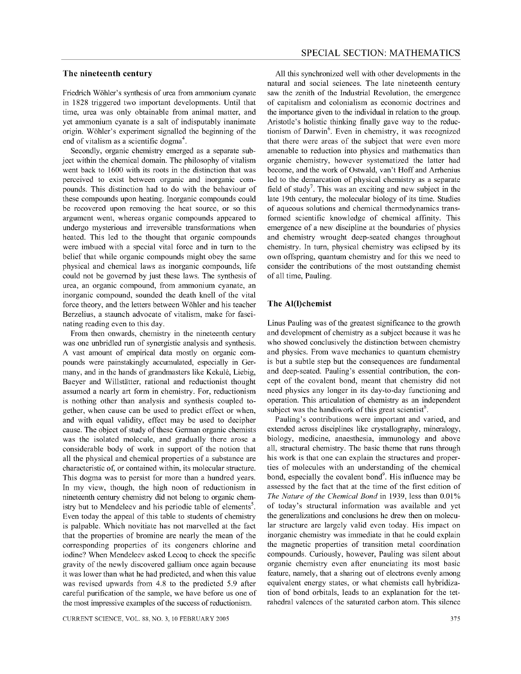#### **The nineteenth century**

Friedrich Wohler's synthesis of urea from ammonium cyanate in 1828 triggered two important developments. Until that time, urea was only obtainable from animal matter, and yet ammonium cyanate is a salt of indisputably inanimate origin. Wohler's experiment signalled the beginning of the end of vitalism as a scientific dogma<sup>4</sup>.

Secondly, organic chemistry emerged as a separate subject within the chemical domain. The philosophy of vitalism went back to 1600 with its roots in the distinction that was perceived to exist between organic and inorganic compounds. This distinction had to do with the behaviour of these compounds upon heating. Inorganic compounds could be recovered upon removing the heat source, or so this argument went, whereas organic compounds appeared to undergo mysterious and irreversible transformations when heated. This led to the thought that organic compounds were imbued with a special vital force and in tum to the belief that while organic compounds might obey the same physical and chemical laws as inorganic compounds, life could not be governed by just these laws. The synthesis of urea, an organic compound, from ammonium cyanate, an inorganic compound, sounded the death knell of the vital force theory, and the letters between Wohler and his teacher Berzelius, a staunch advocate of vitalism, make for fascinating reading even to this day.

From then onwards, chemistry in the nineteenth century was one unbridled run of synergistic analysis and synthesis. A vast amount of empirical data mostly on organic compounds were painstakingly accumulated, especially in Germany, and in the hands of grandmasters like Kekulé, Liebig, Baeyer and Willstätter, rational and reductionist thought assumed a nearly art form in chemistry. For, reductionism is nothing other than analysis and synthesis coupled together, when cause can be used to predict effect or when, and with equal validity, effect may be used to decipher cause. The object of study of these German organic chemists was the isolated molecule, and gradually there arose a considerable body of work in support of the notion that all the physical and chemical properties of a substance are characteristic of, or contained within, its molecular structure. This dogma was to persist for more than a hundred years. In my view, though, the high noon of reductionism in nineteenth century chemistry did not belong to organic chemistry but to Mendeleev and his periodic table of elements<sup>5</sup>. Even today the appeal of this table to students of chemistry is palpable. Which novitiate has not marvelled at the fact that the properties of bromine are nearly the mean of the corresponding properties of its congeners chlorine and iodine? When Mendeleev asked Lecoq to check the specific gravity of the newly discovered gallium once again because it was lower than what he had predicted, and when this value was revised upwards from 4.8 to the predicted 5.9 after careful purification of the sample, we have before us one of the most impressive examples of the success of reductionism.

All this synchronized well with other developments in the natural and social sciences. The late nineteenth century saw the zenith of the Industrial Revolution, the emergence of capitalism and colonialism as economic doctrines and the importance given to the individual in relation to the group. Aristotle's holistic thinking finally gave way to the reductionism of Darwin<sup>6</sup>. Even in chemistry, it was recognized that there were areas of the subject that were even more amenable to reduction into physics and mathematics than organic chemistry, however systematized the latter had become, and the work of Ostwald, van't Hoff and Arrhenius led to the demarcation of physical chemistry as a separate field of study<sup>7</sup>. This was an exciting and new subject in the late 19th century, the molecular biology of its time. Studies of aqueous solutions and chemical thermodynamics transformed scientific knowledge of chemical affinity. This emergence of a new discipline at the boundaries of physics and chemistry wrought deep-seated changes throughout chemistry. In turn, physical chemistry was eclipsed by its own offspring, quantum chemistry and for this we need to consider the contributions of the most outstanding chemist of all time, Pauling.

#### **The AI(I)chemist**

Linus Pauling was of the greatest significance to the growth and development of chemistry as a subject because it was he who showed conclusively the distinction between chemistry and physics. From wave mechanics to quantum chemistry is but a subtle step but the consequences are fundamental and deep-seated. Pauling's essential contribution, the concept of the covalent bond, meant that chemistry did not need physics any longer in its day-to-day functioning and operation. This articulation of chemistry as an independent subject was the handiwork of this great scientist<sup>8</sup>.

Pauling's contributions were important and varied, and extended across disciplines like crystallography, mineralogy, biology, medicine, anaesthesia, immunology and above all, structural chemistry. The basic theme that runs through his work is that one can explain the structures and properties of molecules with an understanding of the chemical bond, especially the covalent bond<sup>9</sup>. His influence may be assessed by the fact that at the time of the first edition of *The Nature of the Chemical Bond* in 1939, less than 0.01 % of today's structural information was available and yet the generalizations and conclusions he drew then on molecular structure are largely valid even today. His impact on inorganic chemistry was immediate in that he could explain the magnetic properties of transition metal coordination compounds. Curiously, however, Pauling was silent about organic chemistry even after enunciating its most basic feature, namely, that a sharing out of electrons evenly among equivalent energy states, or what chemists call hybridization of bond orbitals, leads to an explanation for the tetrahedral valences of the saturated carbon atom. This silence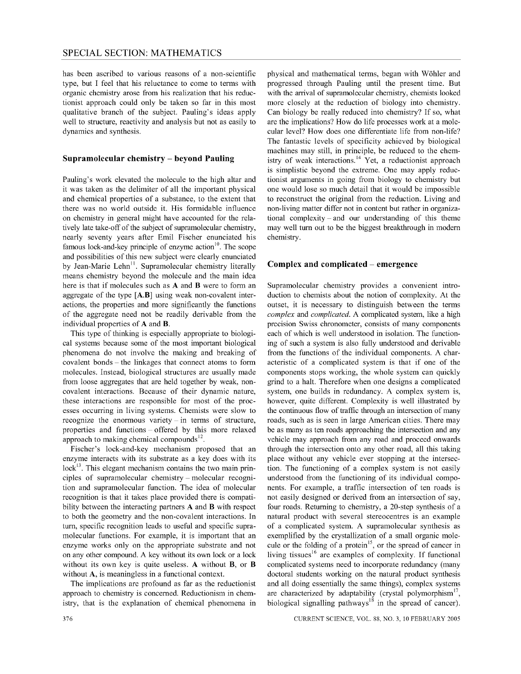has been ascribed to various reasons of a non-scientific type, but I feel that his reluctance to come to terms with organic chemistry arose from his realization that his reductionist approach could only be taken so far in this most qualitative branch of the subject. Pauling's ideas apply well to structure, reactivity and analysis but not as easily to dynamics and synthesis.

#### **Supramolecular chemistry - beyond Pauling**

Pauling's work elevated the molecule to the high altar and it was taken as the delimiter of all the important physical and chemical properties of a substance, to the extent that there was no world outside it. His formidable influence on chemistry in general might have accounted for the relatively late take-off of the subject of supramolecular chemistry, nearly seventy years after Emil Fischer enunciated his famous lock-and-key principle of enzyme  $action<sup>10</sup>$ . The scope and possibilities of this new subject were clearly enunciated by Jean-Marie Lehn<sup>11</sup>. Supramolecular chemistry literally means chemistry beyond the molecule and the main idea here is that if molecules such as A and B were to form an aggregate of the type [A.B] using weak non-covalent interactions, the properties and more significantly the functions of the aggregate need not be readily derivable from the individual properties of A and B.

This type of thinking is especially appropriate to biological systems because some of the most important biological phenomena do not involve the making and breaking of covalent bonds - the linkages that connect atoms to form molecules. Instead, biological structures are usually made from loose aggregates that are held together by weak, noncovalent interactions. Because of their dynamic nature, these interactions are responsible for most of the processes occurring in living systems. Chemists were slow to recognize the enormous variety  $-$  in terms of structure, properties and functions - offered by this more relaxed approach to making chemical compounds<sup>12</sup>.

Fischer's lock-and-key mechanism proposed that an enzyme interacts with its substrate as a key does with its  $lock<sup>13</sup>$ . This elegant mechanism contains the two main principles of supramolecular chemistry - molecular recognition and supramolecular function. The idea of molecular recognition is that it takes place provided there is compatibility between the interacting partners **A** and **B** with respect to both the geometry and the non-covalent interactions. In turn, specific recognition leads to useful and specific supramolecular functions. For example, it is important that an enzyme works only on the appropriate substrate and not on any other compound. A key without its own lock or a lock without its own key is quite useless. A without **B**, or **B** without A, is meaningless in a functional context.

The implications are profound as far as the reductionist approach to chemistry is concerned. Reductionism in chemistry, that is the explanation of chemical phenomena in

physical and mathematical terms, began with Wohler and progressed through Pauling until the present time. But with the arrival of supramolecular chemistry, chemists looked more closely at the reduction of biology into chemistry. Can biology be really reduced into chemistry? If so, what are the implications? How do life processes work at a molecular level? How does one differentiate life from non-life? The fantastic levels of specificity achieved by biological machines may still, in principle, be reduced to the chemistry of weak interactions.<sup>14</sup> Yet, a reductionist approach is simplistic beyond the extreme. One may apply reductionist arguments in going from biology to chemistry but one would lose so much detail that it would be impossible to reconstruct the original from the reduction. Living and non-living matter differ not in content but rather in organizational complexity - and our understanding of this theme may well turn out to be the biggest breakthrough in modem chemistry.

#### **Complex and complicated - emergence**

Supramolecular chemistry provides a convenient introduction to chemists about the notion of complexity. At the outset, it is necessary to distinguish between the terms *complex* and *complicated.* A complicated system, like a high precision Swiss chronometer, consists of many components each of which is well understood in isolation. The functioning of such a system is also fully understood and derivable from the functions of the individual components. A characteristic of a complicated system is that if one of the components stops working, the whole system can quickly grind to a halt. Therefore when one designs a complicated system, one builds in redundancy. A complex system is, however, quite different. Complexity is well illustrated by the continuous flow of traffic through an intersection of many roads, such as is seen in large American cities. There may be as many as ten roads approaching the intersection and any vehicle may approach from any road and proceed onwards through the intersection onto any other road, all this taking place without any vehicle ever stopping at the intersection. The functioning of a complex system is not easily understood from the functioning of its individual components. For example, a traffic intersection of ten roads is not easily designed or derived from an intersection of say, four roads. Returning to chemistry, a 20-step synthesis of a natural product with several stereocentres is an example of a complicated system. A supramolecular synthesis as exemplified by the crystallization of a small organic molecule or the folding of a protein<sup>15</sup>, or the spread of cancer in living tissues<sup>16</sup> are examples of complexity. If functional complicated systems need to incorporate redundancy (many doctoral students working on the natural product synthesis and all doing essentially the same things), complex systems are characterized by adaptability (crystal polymorphism<sup>17</sup>, biological signalling pathways<sup>18</sup> in the spread of cancer).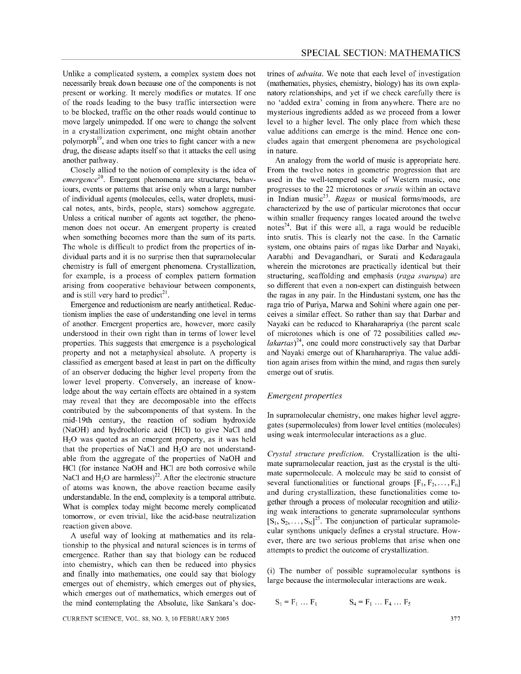Unlike a complicated system, a complex system does not necessarily break down because one of the components is not present or working. It merely modifies or mutates. If one of the roads leading to the busy traffic intersection were to be blocked, traffic on the other roads would continue to move largely unimpeded. If one were to change the solvent in a crystallization experiment, one might obtain another polymorph<sup>19</sup>, and when one tries to fight cancer with a new drug, the disease adapts itself so that it attacks the cell using another pathway.

Closely allied to the notion of complexity is the idea of *emergence <sup>20</sup> .* Emergent phenomena are structures, behaviours, events or patterns that arise only when a large number of individual agents (molecules, cells, water droplets, musical notes, ants, birds, people, stars) somehow aggregate. Unless a critical number of agents act together, the phenomenon does not occur. An emergent property is created when something becomes more than the sum of its parts. The whole is difficult to predict from the properties of individual parts and it is no surprise then that supramolecular chemistry is full of emergent phenomena. Crystallization, for example, is a process of complex pattern formation arising from cooperative behaviour between components, and is still very hard to predict<sup>21</sup>.

Emergence and reductionism are nearly antithetical. Reductionism implies the ease of understanding one level in terms of another. Emergent properties are, however, more easily understood in their own right than in terms of lower level properties. This suggests that emergence is a psychological property and not a metaphysical absolute. A property is classified as emergent based at least in part on the difficulty of an observer deducing the higher level property from the lower level property. Conversely, an increase of knowledge about the way certain effects are obtained in a system may reveal that they are decomposable into the effects contributed by the subcomponents of that system. In the mid-19th century, the reaction of sodium hydroxide (NaOH) and hydrochloric acid (HCl) to give NaCl and H20 was quoted as an emergent property, as it was held that the properties of NaCl and  $H_2O$  are not understandable from the aggregate of the properties of NaOH and HCl (for instance NaOH and HCl are both corrosive while NaCl and  $H_2O$  are harmless)<sup>22</sup>. After the electronic structure of atoms was known, the above reaction became easily understandable. In the end, complexity is a temporal attribute. What is complex today might become merely complicated tomorrow, or even trivial, like the acid-base neutralization reaction given above.

A useful way of looking at mathematics and its relationship to the physical and natural sciences is in terms of emergence. Rather than say that biology can be reduced into chemistry, which can then be reduced into physics and finally into mathematics, one could say that biology emerges out of chemistry, which emerges out of physics, which emerges out of mathematics, which emerges out of the mind contemplating the Absolute, like Sankara's doctrines of *advaita.* We note that each level of investigation (mathematics, physics, chemistry, biology) has its own explanatory relationships, and yet if we check carefully there is no 'added extra' coming in from anywhere. There are no mysterious ingredients added as we proceed from a lower level to a higher level. The only place from which these value additions can emerge is the mind. Hence one concludes again that emergent phenomena are psychological in nature.

An analogy from the world of music is appropriate here. From the twelve notes in geometric progression that are used in the well-tempered scale of Western music, one progresses to the 22 microtones or *srutis* within an octave in Indian music<sup>23</sup>. *Ragas* or musical forms/moods, are characterized by the use of particular microtones that occur within smaller frequency ranges located around the twelve notes<sup>24</sup>. But if this were all, a raga would be reducible into srutis. This is clearly not the case. In the Carnatic system, one obtains pairs of ragas like Darbar and Nayaki, Aarabhi and Devagandhari, or Surati and Kedaragaula wherein the microtones are practically identical but their structuring, scaffolding and emphasis *(raga svarupa)* are so different that even a non-expert can distinguish between the ragas in any pair. In the Hindustani system, one has the raga trio of Puriya, Marwa and Sohini where again one perceives a similar effect. So rather than say that Darbar and Nayaki can be reduced to Kharaharapriya (the parent scale of microtones which is one of 72 possibilities called *melakartas* $)^{24}$ , one could more constructively say that Darbar and Nayaki emerge out of Kharaharapriya. The value addition again arises from within the mind, and ragas then surely emerge out of srutis.

#### *Emergent properties*

In supramolecular chemistry, one makes higher level aggregates (supermolecules) from lower level entities (molecules) using weak intermolecular interactions as a glue.

*Crystal structure prediction.* Crystallization is the ultimate supramolecular reaction, just as the crystal is the ultimate supermolecule. A molecule may be said to consist of several functionalities or functional groups  $[F_1, F_2, \ldots, F_n]$ and during crystallization, these functionalities come together through a process of molecular recognition and utilizing weak interactions to generate supramolecular synthons  $[S_1, S_2, \ldots, S_N]^2$ . The conjunction of particular supramolecular synthons uniquely defines a crystal structure. However, there are two serious problems that arise when one attempts to predict the outcome of crystallization.

(i) The number of possible supramolecular synthons is large because the intermolecular interactions are weak.

$$
S_1 = F_1 \dots F_1
$$
  $S_4 = F_1 \dots F_4 \dots F_5$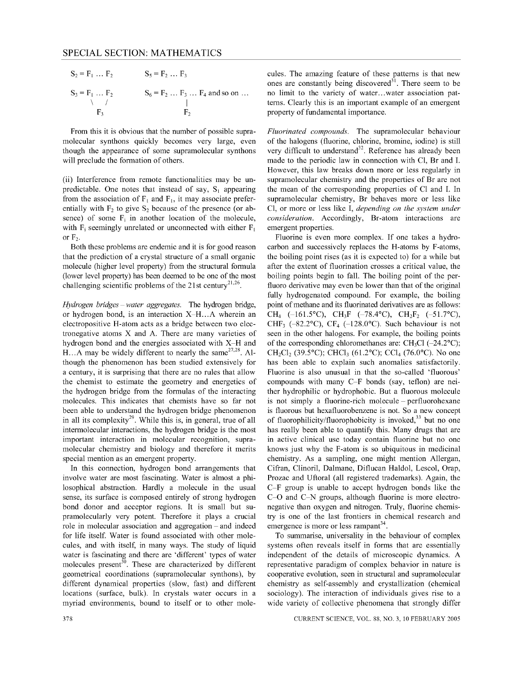| $S_2 = F_1  F_2$                    | $S_5 = F_2  F_3$                |
|-------------------------------------|---------------------------------|
| $S_3 = F_1  F_2$<br>$\Delta \sim 1$ | $S_6 = F_2  F_3  F_4$ and so on |
| $F_2$                               | F۰                              |

From this it is obvious that the number of possible supramolecular synthons quickly becomes very large, even though the appearance of some supramolecular synthons will preclude the formation of others.

(ii) Interference from remote functionalities may be unpredictable. One notes that instead of say,  $S_1$  appearing from the association of  $F_1$  and  $F_1$ , it may associate preferentially with  $F_2$  to give  $S_2$  because of the presence (or absence) of some  $F_i$  in another location of the molecule, with  $F_i$  seemingly unrelated or unconnected with either  $F_i$ or  $F_2$ .

Both these problems are endemic and it is for good reason that the prediction of a crystal structure of a small organic molecule (higher level property) from the structural formula (lower level property) has been deemed to be one of the most challenging scientific problems of the 21st century<sup>21,26</sup>.

*Hydrogen bridges* - *water aggregates.* The hydrogen bridge, or hydrogen bond, is an interaction  $X-H...A$  wherein an electropositive H-atom acts as a bridge between two electronegative atoms  $X$  and  $A$ . There are many varieties of hydrogen bond and the energies associated with X-H and H...A may be widely different to nearly the same<sup>27,28</sup>. Although the phenomenon has been studied extensively for a century, it is surprising that there are no rules that allow the chemist to estimate the geometry and energetics of the hydrogen bridge from the formulas of the interacting molecules. This indicates that chemists have so far not been able to understand the hydrogen bridge phenomenon in all its complexity<sup>29</sup>. While this is, in general, true of all intermolecular interactions, the hydrogen bridge is the most important interaction in molecular recognition, supramolecular chemistry and biology and therefore it merits special mention as an emergent property.

In this connection, hydrogen bond arrangements that involve water are most fascinating. Water is almost a philosophical abstraction. Hardly a molecule in the usual sense, its surface is composed entirely of strong hydrogen bond donor and acceptor regions. It is small but supramolecularly very potent. Therefore it plays a crucial role in molecular association and aggregation – and indeed for life itself. Water is found associated with other molecules, and with itself, in many ways. The study of liquid water is fascinating and there are 'different' types of water molecules present<sup>30</sup>. These are characterized by different geometrical coordinations (supramolecular synthons), by different dynamical properties (slow, fast) and different locations (surface, bulk). In crystals water occurs in a myriad environments, bound to itself or to other molecules. The amazing feature of these patterns is that new ones are constantly being discovered<sup>31</sup>. There seem to be no limit to the variety of water. .. water association patterns. Clearly this is an important example of an emergent property of fundamental importance.

*Fluorinated compounds.* The supramolecular behaviour of the halogens (fluorine, chlorine, bromine, iodine) is still very difficult to understand<sup>32</sup>. Reference has already been made to the periodic law in connection with Cl, Br and 1. However, this law breaks down more or less regularly in supramolecular chemistry and the properties of Br are not the mean of the corresponding properties of Cl and 1. In supramolecular chemistry, Br behaves more or less like Cl, or more or less like I, *depending on the system under consideration.* Accordingly, Br-atom interactions are emergent properties.

Fluorine is even more complex. If one takes a hydrocarbon and successively replaces the H-atoms by F-atoms, the boiling point rises (as it is expected to) for a while but after the extent of fluorination crosses a critical value, the boiling points begin to fall. The boiling point of the perfluoro derivative may even be lower than that of the original fully hydrogenated compound. For example, the boiling point of methane and its fluorinated derivatives are as follows: CH<sub>4</sub> (-161.5°C), CH<sub>3</sub>F (-78.4°C), CH<sub>2</sub>F<sub>2</sub> (-51.7°C), CHF<sub>3</sub> (-82.2°C), CF<sub>4</sub> (-128.0°C). Such behaviour is not seen in the other halogens. For example, the boiling points of the corresponding chloromethanes are: CH<sub>3</sub>Cl ( $-24.2$ °C); CH<sub>2</sub>Cl<sub>2</sub> (39.5°C); CHCl<sub>3</sub> (61.2°C); CCl<sub>4</sub> (76.0°C). No one has been able to explain such anomalies satisfactorily. Fluorine is also unusual in that the so-called 'fluorous' compounds with many C-F bonds (say, teflon) are neither hydrophilic or hydrophobic. But a fluorous molecule is not simply a fluorine-rich molecule - perfluorohexane is fluorous but hexafluorobenzene is not. So a new concept of fluorophilicity/fluorophobicity is invoked,  $33$  but no one has really been able to quantify this. Many drugs that are in active clinical use today contain fluorine but no one knows just why the F-atom is so ubiquitous in medicinal chemistry. As a sampling, one might mention Allergan, Cifran, Clinoril, Dalmane, Diflucan Haldol, Lescol, Orap, Prozac and Uftoral (all registered trademarks). Again, the C-F group is unable to accept hydrogen bonds like the c-o and C-N groups, although fluorine is more electronegative than oxygen and nitrogen. Truly, fluorine chemistry is one of the last frontiers in chemical research and emergence is more or less rampant<sup>34</sup>.

To summarise, universality in the behaviour of complex systems often reveals itself in forms that are essentially independent of the details of microscopic dynamics. A representative paradigm of complex behavior in nature is cooperative evolution, seen in structural and supramolecular chemistry as self-assembly and crystallization (chemical sociology). The interaction of individuals gives rise to a wide variety of collective phenomena that strongly differ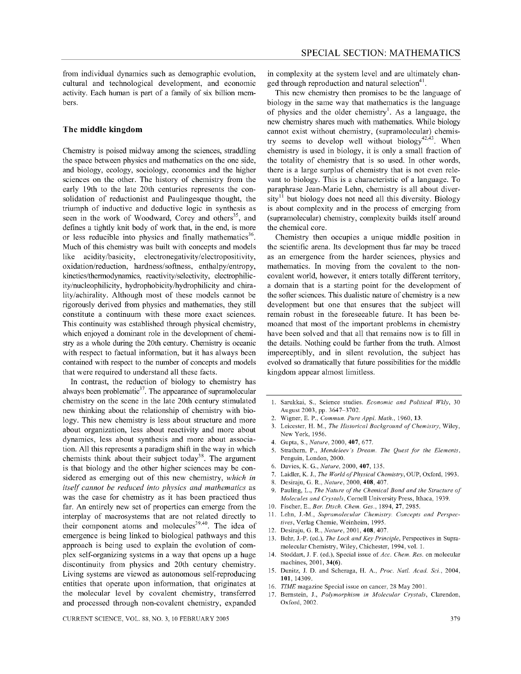from individual dynamics such as demographic evolution, cultural and technological development, and economic activity. Each human is part of a family of six billion members.

#### **The middle kingdom**

Chemistry is poised midway among the sciences, straddling the space between physics and mathematics on the one side, and biology, ecology, sociology, economics and the higher sciences on the other. The history of chemistry from the early 19th to the late 20th centuries represents the consolidation of reductionist and Paulingesque thought, the triumph of inductive and deductive logic in synthesis as seen in the work of Woodward, Corey and others<sup>35</sup>, and defines a tightly knit body of work that, in the end, is more or less reducible into physics and finally mathematics<sup>36</sup>. Much of this chemistry was built with concepts and models like acidity/basicity, electronegativity/electropositivity, oxidation/reduction, hardness/softness, enthalpy/entropy, kinetics/thermodynamics, reactivity/selectivity, electrophilicity/nucleophilicity, hydrophobicitylhydrophilicity and chirality/achirality. Although most of these models cannot be rigorously derived from physics and mathematics, they still constitute a continuum with these more exact sciences. This continuity was established through physical chemistry, which enjoyed a dominant role in the development of chemistry as a whole during the 20th century. Chemistry is oceanic with respect to factual information, but it has always been contained with respect to the number of concepts and models that were required to understand all these facts.

In contrast, the reduction of biology to chemistry has always been problematic $3^7$ . The appearance of supramolecular chemistry on the scene in the late 20th century stimulated new thinking about the relationship of chemistry with biology. This new chemistry is less about structure and more about organization, less about reactivity and more about dynamics, less about synthesis and more about association. All this represents a paradigm shift in the way in which chemists think about their subject today<sup>38</sup>. The argument is that biology and the other higher sciences may be considered as emerging out of this new chemistry, *which in itself cannot be reduced into physics and mathematics* as was the case for chemistry as it has been practiced thus far. An entirely new set of properties can emerge from the interplay of macrosystems that are not related directly to their component atoms and molecules<sup>39,40</sup>. The idea of emergence is being linked to biological pathways and this approach is being used to explain the evolution of complex self-organizing systems in a way that opens up a huge discontinuity from physics and 20th century chemistry. Living systems are viewed as autonomous self-reproducing entities that operate upon information, that originates at the molecular level by covalent chemistry, transferred and processed through non-covalent chemistry, expanded

in complexity at the system level and are ultimately changed through reproduction and natural selection $4l$ .

This new chemistry then promises to be the language of biology in the same way that mathematics is the language of physics and the older chemistry<sup>1</sup>. As a language, the new chemistry shares much with mathematics. While biology cannot exist without chemistry, (supramolecular) chemistry seems to develop well without biology<sup>42,43</sup>. When chemistry is used in biology, it is only a small fraction of the totality of chemistry that is so used. In other words, there is a large surplus of chemistry that is not even relevant to biology. This is a characteristic of a language. To paraphrase Jean-Marie Lehn, chemistry is all about diver $sity<sup>11</sup>$  but biology does not need all this diversity. Biology is about complexity and in the process of emerging from (supramolecular) chemistry, complexity builds itself around the chemical core.

Chemistry then occupies a unique middle position in the scientific arena. Its development thus far may be traced as an emergence from the harder sciences, physics and mathematics. In moving from the covalent to the noncovalent world, however, it enters totally different territory, a domain that is a starting point for the development of the softer sciences. This dualistic nature of chemistry is a new development but one that ensures that the subject will remain robust in the foreseeable future. It has been bemoaned that most of the important problems in chemistry have been solved and that all that remains now is to fill in the details. Nothing could be further from the truth. Almost imperceptibly, and in silent revolution, the subject has evolved so dramatically that future possibilities for the middle kingdom appear almost limitless.

- 1. Sarukkai, S., Science studies. *Economic and Political Wkly, 30*  August 2003, pp. 3647-3702.
- 2. Wigner, E. P., *Commun. Pure Appl. Math.,* 1960,13.
- 3. Leicester, H. M., *The Historical Background of Chemistry,* Wiley, New York, 1956.
- 4. Gupta, S., *Nature,* 2000, 407, 677.
- 5. Strathern, P., *Mendeleev·s Dream. The Quest for the Elements,*  Penguin, London, 2000.
- 6. Davies, K. G., *Nature,* 2000, 407, 135.
- 7. Laidler, K. *I., The World of Physical Chemistry,* OUP, Oxford, 1993.
- 8. Desiraju, G. R., *Nature,* 2000, 408, 407.
- 9. Pauling, L., *The Nature of the Chemical Bond and the Structure of Molecules and Crystals,* Cornell University Press, Ithaca, 1939.
- 10. Fischer, E., *Ber. Dtsch. Chem. Ges.,* 1894,27,2985.
- 11. Lehn, I.-M., *Supramolecular Chemistry. Concepts and Perspectives,* Verlag Chemie, Weinheim, 1995.
- 12. Desiraju, G. R., *Nature,* 2001, 408, 407. 13. Behr, I.-P. (ed.), *The Lock and Key Principle,* Perspectives in Supra-
- molecular Chemistry, Wiley, Chichester, 1994, vol. 1. 14. Stoddart, I. F. (ed.), Special issue of *Acc. Chem. Res.* on molecular machines, 2001, 34(6).
- 15. Dunitz, I. D. and Scheraga, H. A., *Proc. Natl. Acad. Sci., 2004,*  101, 14309.
- 16. *TIME* magazine Special issue on cancer, 28 May 2001.
- 17. Bernstein, *I., Polymorphism in Molecular Crystals,* Clarendon, Oxford, 2002.

CURRENT SCIENCE, VOL. 88, NO.3, 10 FEBRUARY 2005